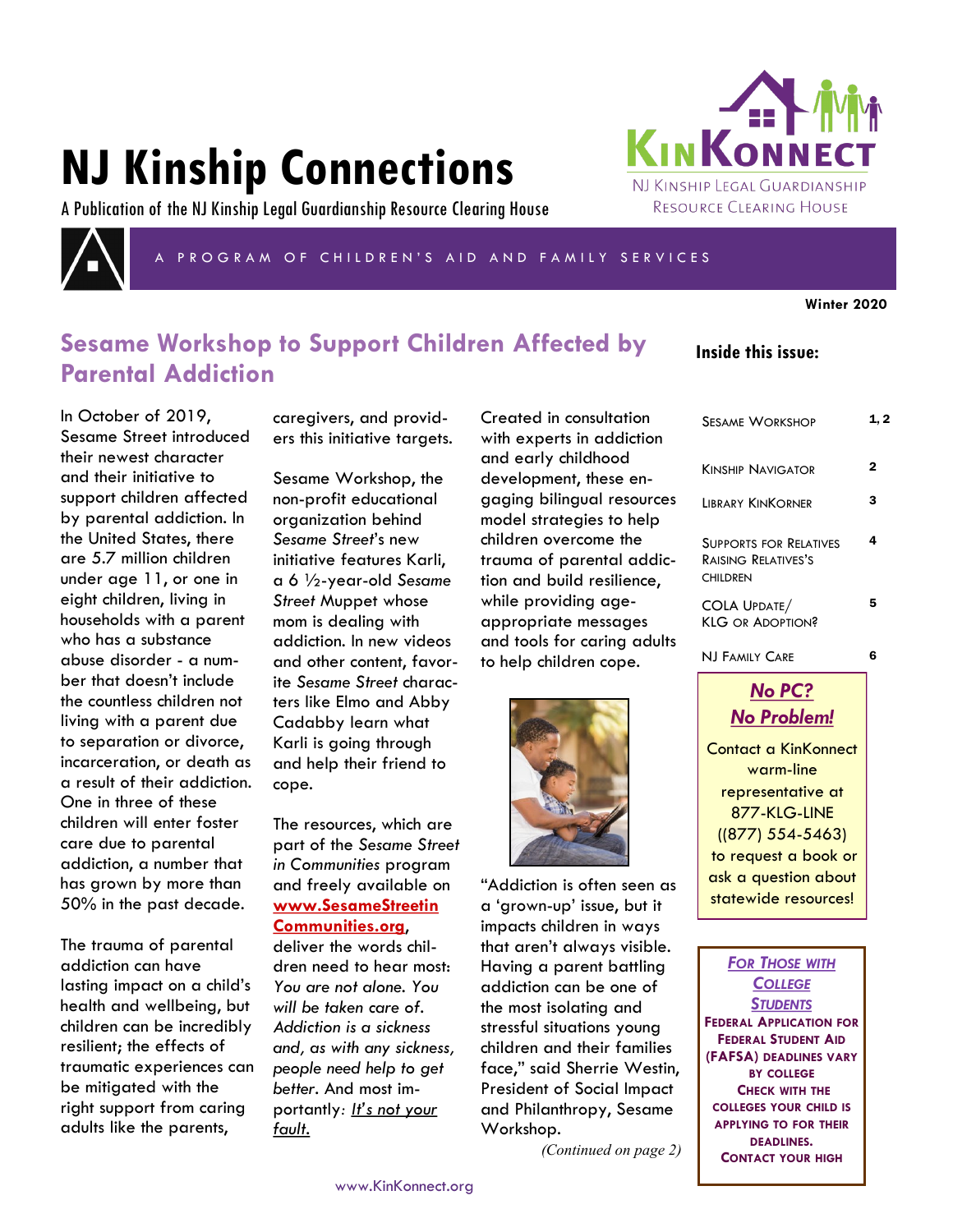# **NJ Kinship Connections**

A Publication of the NJ Kinship Legal Guardianship Resource Clearing House



PROGRAM OF CHILDREN'S AID AND FAMILY SERVICES

**Winter 2020**

# **Sesame Workshop to Support Children Affected by Parental Addiction**

**Inside this issue:**

KINKONNI

NJ KINSHIP LEGAL GUARDIANSHIP RESOURCE CLEARING HOUSE

| In October of 2019,          |
|------------------------------|
| Sesame Street introduced     |
| their newest character       |
| and their initiative to      |
| support children affected    |
| by parental addiction. In    |
| the United States, there     |
| are 5.7 million children     |
| under age 11, or one in      |
| eight children, living in    |
| households with a parent     |
| who has a substance          |
| abuse disorder - a num-      |
| ber that doesn't include     |
| the countless children not   |
| living with a parent due     |
| to separation or divorce,    |
| incarceration, or death as   |
| a result of their addiction. |
| One in three of these        |
| children will enter foster   |
| care due to parental         |
| addiction, a number that     |
| has grown by more than       |
| 50% in the past decade.      |
|                              |

The trauma of parental addiction can have lasting impact on a child's health and wellbeing, but children can be incredibly resilient; the effects of traumatic experiences can be mitigated with the right support from caring adults like the parents,

caregivers, and providers this initiative targets.

Sesame Workshop, the non-profit educational organization behind *Sesame Street*'s new initiative features Karli, a 6 ½-year-old *Sesame Street* Muppet whose mom is dealing with addiction. In new videos and other content, favorite *Sesame Street* characters like Elmo and Abby Cadabby learn what Karli is going through and help their friend to cope.

The resources, which are part of the *Sesame Street in Communities* program and freely available on **[www.SesameStreetin](http://www.sesamestreetincommunities.org/) [Communities.org](http://www.sesamestreetincommunities.org/)**,

deliver the words children need to hear most: *You are not alone. You will be taken care of. Addiction is a sickness and, as with any sickness, people need help to get better.* And most importantly*: It's not your fault.*

Created in consultation with experts in addiction and early childhood development, [these en](https://sesamestreetincommunities.org/topics/parental-addiction/)[gaging bilingual resources](https://sesamestreetincommunities.org/topics/parental-addiction/) model strategies to help children overcome the trauma of parental addiction and build resilience, while providing ageappropriate messages and tools for caring adults to help children cope.



"Addiction is often seen as a 'grown-up' issue, but it impacts children in ways that aren't always visible. Having a parent battling addiction can be one of the most isolating and stressful situations young children and their families face," said Sherrie Westin, President of Social Impact and Philanthropy, Sesame Workshop.

*(Continued on page 2)*

SESAME WORKSHOP 1,2 KINSHIP NAVIGATOR<sub>2</sub> LIBRARY KINKORNER 3 SUPPORTS FOR RELATIVES RAISING RELATIVES'S CHILDREN 4 COLA UPDATE/ KLG OR ADOPTION? 5

NJ FAMILY CARE 6

*No PC? No Problem!* Contact a KinKonnect warm-line representative at 877-KLG-LINE ((877) 554-5463) to request a book or ask a question about statewide resources!

*FOR THOSE WITH COLLEGE STUDENTS* **FEDERAL APPLICATION FOR FEDERAL STUDENT AID (FAFSA) DEADLINES VARY BY COLLEGE CHECK WITH THE COLLEGES YOUR CHILD IS APPLYING TO FOR THEIR DEADLINES. CONTACT YOUR HIGH**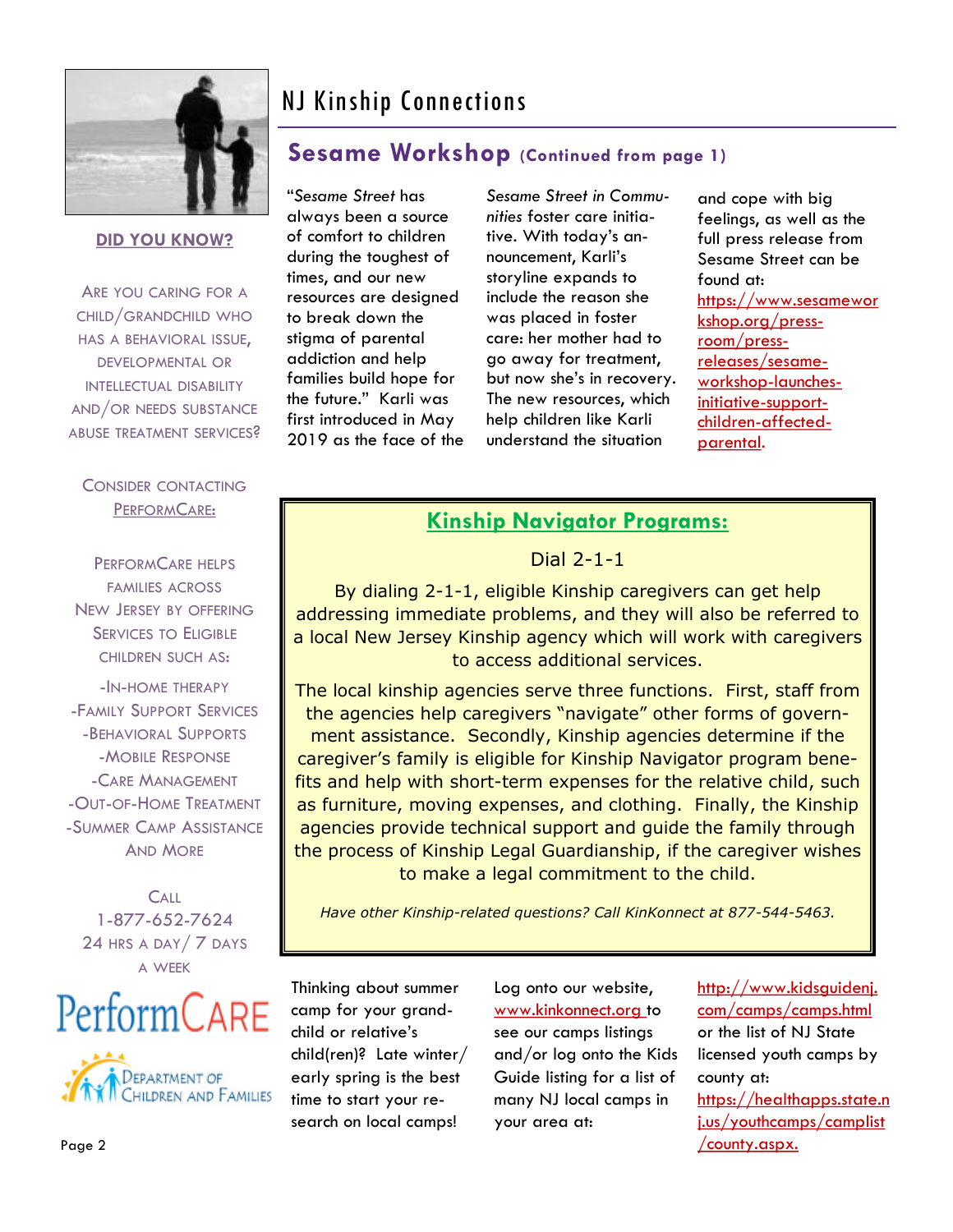

**DID YOU KNOW?**

ARE YOU CARING FOR A CHILD/GRANDCHILD WHO HAS A BEHAVIORAL ISSUE, DEVELOPMENTAL OR INTELLECTUAL DISABILITY AND/OR NEEDS SUBSTANCE ABUSE TREATMENT SERVICES?

# NJ Kinship Connections

## **Sesame Workshop (Continued from page 1)**

always been a source of comfort to children during the toughest of times, and our new resources are designed to break down the stigma of parental addiction and help families build hope for the future." Karli was first introduced in May 2019 as the face of the

"*Sesame Street* has

*Sesame Street in Communities* [foster care initia](https://www.sesameworkshop.org/press-room/press-releases/sesame-workshop-launches-new-initiative-support-children-foster-care)[tive](https://www.sesameworkshop.org/press-room/press-releases/sesame-workshop-launches-new-initiative-support-children-foster-care). With today's announcement, Karli's storyline expands to include the reason she was placed in foster care: her mother had to go away for treatment, but now she's in recovery. The new resources, which help children like Karli understand the situation

and cope with big feelings, as well as the full press release from Sesame Street can be found at: [https://www.sesamewor](https://www.sesameworkshop.org/press-room/press-releases/sesame-workshop-launches-initiative-support-children-affected-parental) [kshop.org/press](https://www.sesameworkshop.org/press-room/press-releases/sesame-workshop-launches-initiative-support-children-affected-parental)[room/press](https://www.sesameworkshop.org/press-room/press-releases/sesame-workshop-launches-initiative-support-children-affected-parental)[releases/sesame](https://www.sesameworkshop.org/press-room/press-releases/sesame-workshop-launches-initiative-support-children-affected-parental)[workshop-launches](https://www.sesameworkshop.org/press-room/press-releases/sesame-workshop-launches-initiative-support-children-affected-parental)[initiative-support](https://www.sesameworkshop.org/press-room/press-releases/sesame-workshop-launches-initiative-support-children-affected-parental)[children-affected](https://www.sesameworkshop.org/press-room/press-releases/sesame-workshop-launches-initiative-support-children-affected-parental)[parental.](https://www.sesameworkshop.org/press-room/press-releases/sesame-workshop-launches-initiative-support-children-affected-parental) 

#### CONSIDER CONTACTING PERFORMCARE:

PERFORMCARE HELPS FAMILIES ACROSS NEW JERSEY BY OFFERING SERVICES TO ELIGIBLE CHILDREN SUCH AS:

-IN-HOME THERAPY -FAMILY SUPPORT SERVICES -BEHAVIORAL SUPPORTS -MOBILE RESPONSE -CARE MANAGEMENT -OUT-OF-HOME TREATMENT -SUMMER CAMP ASSISTANCE AND MORE

**CALL** 1-877-652-7624 24 HRS A DAY / 7 DAYS A WEEK





### **Kinship Navigator Programs:**

Dial 2-1-1

By dialing 2-1-1, eligible Kinship caregivers can get help addressing immediate problems, and they will also be referred to a local New Jersey Kinship agency which will work with caregivers to access additional services.

The local kinship agencies serve three functions. First, staff from the agencies help caregivers "navigate" other forms of government assistance. Secondly, Kinship agencies determine if the caregiver's family is eligible for Kinship Navigator program benefits and help with short-term expenses for the relative child, such as furniture, moving expenses, and clothing. Finally, the Kinship agencies provide technical support and guide the family through the process of Kinship Legal Guardianship, if the caregiver wishes to make a legal commitment to the child.

*Have other Kinship-related questions? Call KinKonnect at 877-544-5463.*

Thinking about summer camp for your grandchild or relative's child(ren)? Late winter/ early spring is the best time to start your research on local camps!

Log onto our website, www.kinkonnect.org to see our camps listings and/or log onto the Kids Guide listing for a list of many NJ local camps in your area at:

http://www.kidsguidenj. com/camps/camps.html or the list of NJ State licensed youth camps by county at: https://healthapps.state.n j.us/youthcamps/camplist /county.aspx.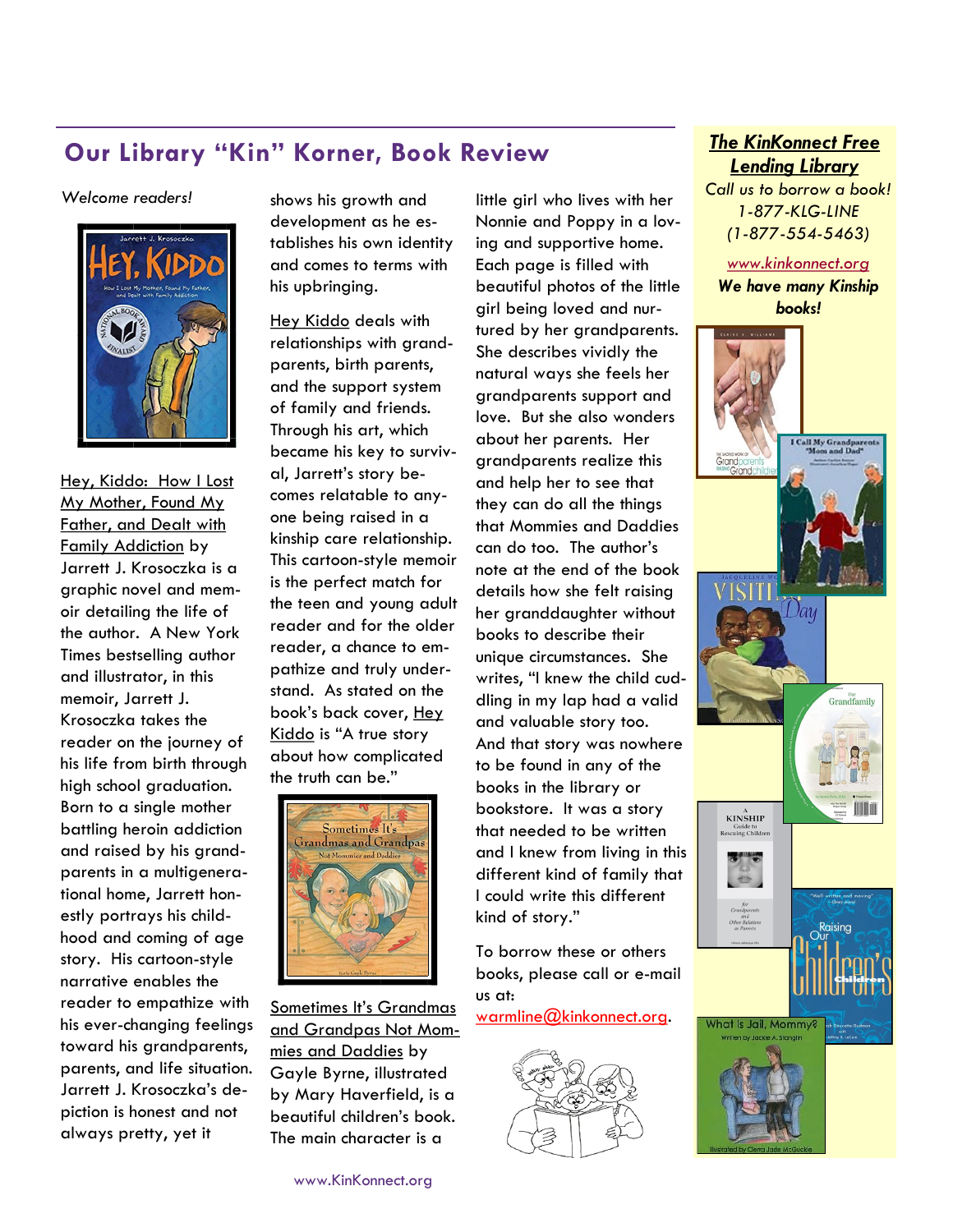# **Our Library "Kin" Korner, Book Review** *The KinKonnect Free*

*Welcome readers!* 



Hey, Kiddo: How I Lost My Mother, Found My Father, and Dealt with Family Addiction by Jarrett J. Krosoczka is a graphic novel and memoir detailing the life of the author. A New York Times bestselling author and illustrator, in this memoir, Jarrett J. Krosoczka takes the reader on the journey of his life from birth through high school graduation. Born to a single mother battling heroin addiction and raised by his grandparents in a multigenerational home, Jarrett honestly portrays his childhood and coming of age story. His cartoon-style narrative enables the reader to empathize with his ever-changing feelings toward his grandparents, parents, and life situation. Jarrett J. Krosoczka's depiction is honest and not always pretty, yet it

shows his growth and development as he establishes his own identity and comes to terms with his upbringing.

Hey Kiddo deals with relationships with grandparents, birth parents, and the support system of family and friends. Through his art, which became his key to survival, Jarrett's story becomes relatable to anyone being raised in a kinship care relationship. This cartoon-style memoir is the perfect match for the teen and young adult reader and for the older reader, a chance to empathize and truly understand. As stated on the book's back cover, Hey Kiddo is "A true story about how complicated the truth can be."



Sometimes It's Grandmas and Grandpas Not Mommies and Daddies by Gayle Byrne, illustrated by Mary Haverfield, is a beautiful children's book. The main character is a

girl being loved and nurtured by her grandparents. She describes vividly the natural ways she feels her grandparents support and love. But she also wonders about her parents. Her grandparents realize this and help her to see that they can do all the things that Mommies and Daddies can do too. The author's note at the end of the book details how she felt raising her granddaughter without books to describe their unique circumstances. She writes, "I knew the child cuddling in my lap had a valid and valuable story too. And that story was nowhere to be found in any of the books in the library or bookstore. It was a story that needed to be written and I knew from living in this different kind of family that I could write this different kind of story." To borrow these or others books, please call or e-mail us at:

little girl who lives with her Nonnie and Poppy in a loving and supportive home. Each page is filled with beautiful photos of the little

warmline@kinkonnect.org.



# *Lending Library*

*Call us to borrow a book! 1-877-KLG-LINE (1-877-554-5463)*

*www.kinkonnect.org We have many Kinship books!* 

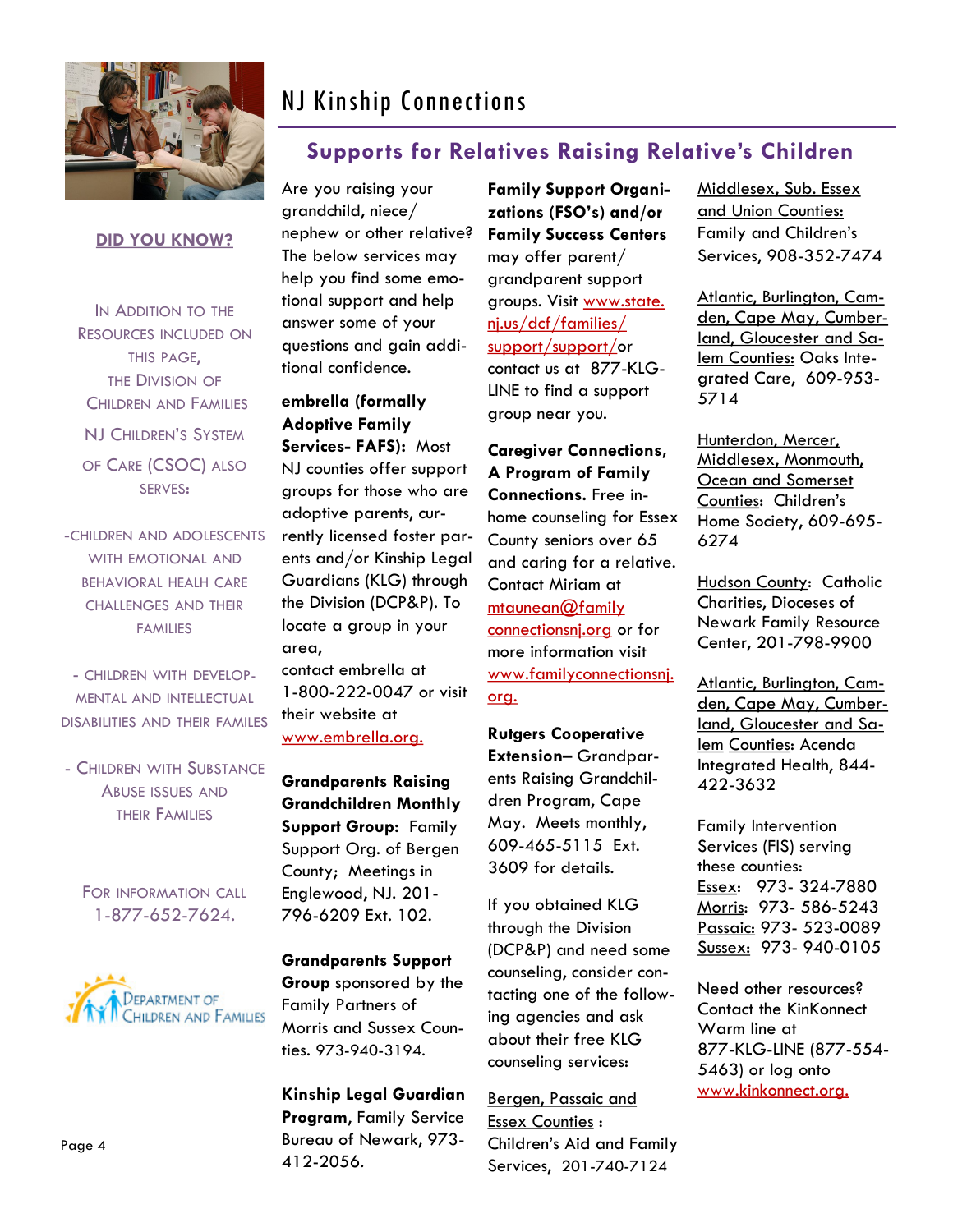

# NJ Kinship Connections

### **Supports for Relatives Raising Relative's Children**

#### **DID YOU KNOW?**

IN ADDITION TO THE RESOURCES INCLUDED ON THIS PAGE, THE DIVISION OF CHILDREN AND FAMILIES NJ CHILDREN'S SYSTEM OF CARE (CSOC) ALSO SERVES:

-CHILDREN AND ADOLESCENTS WITH EMOTIONAL AND BEHAVIORAL HEALH CARE CHALLENGES AND THEIR FAMILIES

- CHILDREN WITH DEVELOP-MENTAL AND INTELLECTUAL DISABILITIES AND THEIR FAMILES

- CHILDREN WITH SUBSTANCE ABUSE ISSUES AND THEIR FAMILIES

FOR INFORMATION CALL 1-877-652-7624.



Are you raising your grandchild, niece/ nephew or other relative? The below services may help you find some emotional support and help answer some of your questions and gain additional confidence.

**embrella (formally Adoptive Family Services- FAFS):** Most NJ counties offer support groups for those who are adoptive parents, currently licensed foster parents and/or Kinship Legal Guardians (KLG) through the Division (DCP&P). To locate a group in your area,

contact embrella at 1-800-222-0047 or visit their website at www.embrella.org.

**Grandparents Raising Grandchildren Monthly Support Group:** Family Support Org. of Bergen County;Meetings in Englewood, NJ. 201- 796-6209 Ext. 102.

**Grandparents Support Group** sponsored by the Family Partners of Morris and Sussex Counties. 973-940-3194.

**Kinship Legal Guardian Program**, Family Service Bureau of Newark, 973- 412-2056.

**Family Support Organizations (FSO's) and/or Family Success Centers**  may offer parent/ grandparent support groups. Visit www.state. nj.us/dcf/families/ support/support/or contact us at 877-KLG-LINE to find a support group near you.

**Caregiver Connections, A Program of Family Connections.** Free inhome counseling for Essex County seniors over 65 and caring for a relative. Contact Miriam at [mtaunean@family](mailto:mtaunean@familyconnectionsnj.org) [connectionsnj.org](mailto:mtaunean@familyconnectionsnj.org) or for more information visit www.familyconnectionsnj. org.

**Rutgers Cooperative Extension–** Grandparents Raising Grandchildren Program, Cape May. Meets monthly, 609-465-5115 Ext. 3609 for details.

If you obtained KLG through the Division (DCP&P) and need some counseling, consider contacting one of the following agencies and ask about their free KLG counseling services:

Bergen, Passaic and Essex Counties : Children's Aid and Family Services, 201-740-7124

Middlesex, Sub. Essex and Union Counties: Family and Children's Services, 908-352-7474

Atlantic, Burlington, Camden, Cape May, Cumberland, Gloucester and Salem Counties: Oaks Integrated Care, 609-953- 5714

Hunterdon, Mercer, Middlesex, Monmouth, Ocean and Somerset Counties: Children's Home Society, 609-695- 6274

Hudson County: Catholic Charities, Dioceses of Newark Family Resource Center, 201-798-9900

Atlantic, Burlington, Camden, Cape May, Cumberland, Gloucester and Salem Counties: Acenda Integrated Health, 844- 422-3632

Family Intervention Services (FIS) serving these counties: Essex: 973- 324-7880 Morris: 973- 586-5243 Passaic: 973- 523-0089 Sussex: 973- 940-0105

Need other resources? Contact the KinKonnect Warm line at 877-KLG-LINE (877-554- 5463) or log onto www.kinkonnect.org.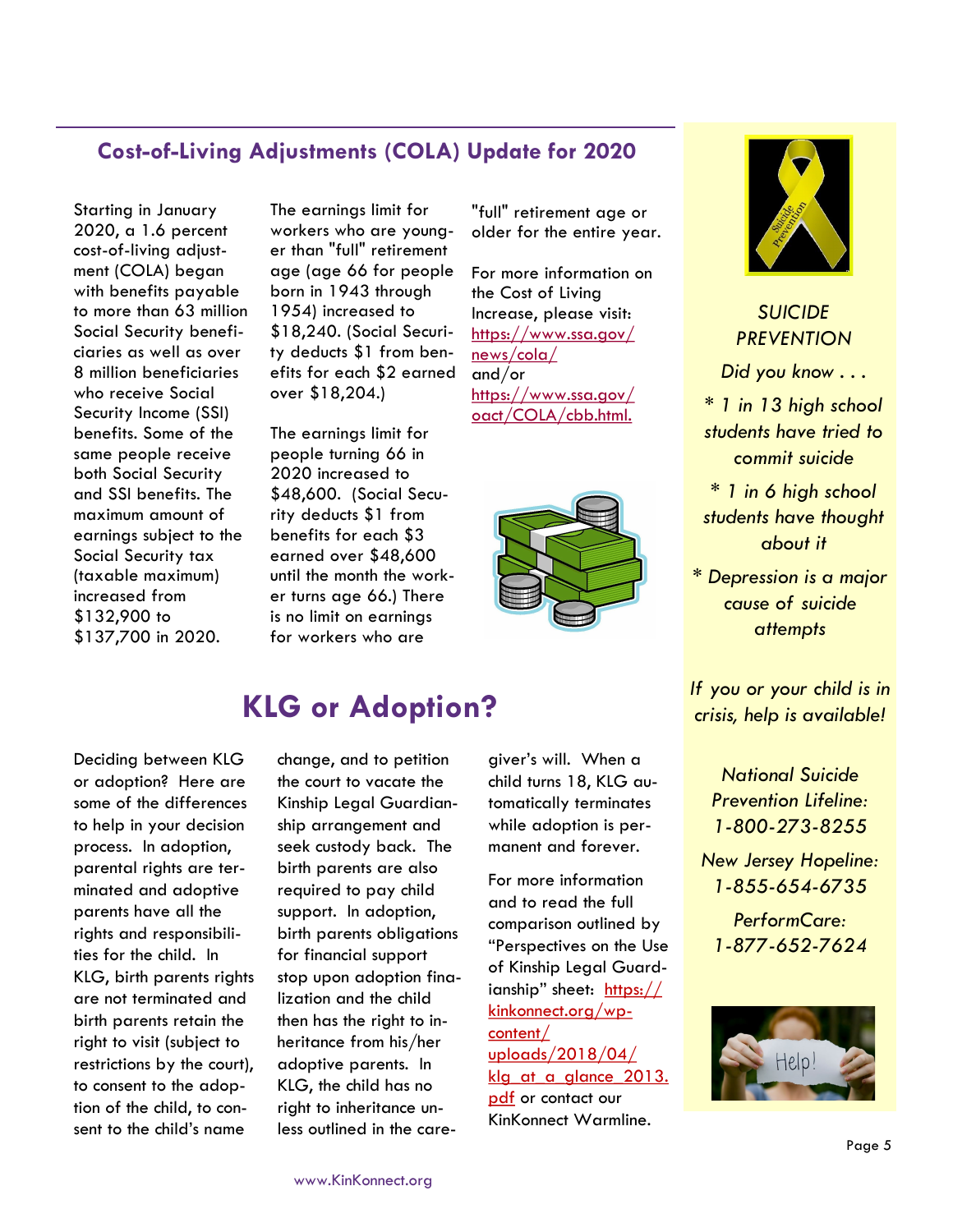#### **Cost-of-Living Adjustments (COLA) Update for 2020**

Starting in January 2020, a 1.6 percent cost-of-living adjustment (COLA) began with benefits payable to more than 63 million Social Security beneficiaries as well as over 8 million beneficiaries who receive Social Security Income (SSI) benefits. Some of the same people receive both Social Security and SSI benefits. The maximum amount of earnings subject to the Social Security tax (taxable maximum) increased from \$132,900 to \$137,700 in 2020.

The earnings limit for workers who are younger than "full" retirement age (age 66 for people born in 1943 through 1954) increased to \$18,240. (Social Security deducts \$1 from benefits for each \$2 earned over \$18,204.)

The earnings limit for people turning 66 in 2020 increased to \$48,600. (Social Security deducts \$1 from benefits for each \$3 earned over \$48,600 until the month the worker turns age 66.) There is no limit on earnings for workers who are

"full" retirement age or older for the entire year.

For more information on the Cost of Living Increase, please visit: [https://www.ssa.gov/](https://www.ssa.gov/news/cola/) [news/cola/](https://www.ssa.gov/news/cola/) and/or https://www.ssa.gov/ oact/COLA/cbb.html.





*SUICIDE PREVENTION*

*Did you know . . .* 

*\* 1 in 13 high school students have tried to commit suicide*

*\* 1 in 6 high school students have thought about it*

*\* Depression is a major cause of suicide attempts*

*If you or your child is in crisis, help is available!*

> *National Suicide Prevention Lifeline: 1-800-273-8255*

*New Jersey Hopeline: 1-855-654-6735*

*PerformCare: 1-877-652-7624*



Deciding between KLG or adoption? Here are some of the differences to help in your decision process. In adoption, parental rights are terminated and adoptive parents have all the rights and responsibilities for the child. In KLG, birth parents rights are not terminated and birth parents retain the right to visit (subject to restrictions by the court), to consent to the adoption of the child, to con-

sent to the child's name

# **KLG or Adoption?**

change, and to petition the court to vacate the Kinship Legal Guardianship arrangement and seek custody back. The birth parents are also required to pay child support. In adoption, birth parents obligations for financial support stop upon adoption finalization and the child then has the right to inheritance from his/her adoptive parents. In KLG, the child has no right to inheritance unless outlined in the care-

giver's will. When a child turns 18, KLG automatically terminates while adoption is permanent and forever.

For more information and to read the full comparison outlined by "Perspectives on the Use of Kinship Legal Guardianship" sheet: https:// kinkonnect.org/wpcontent/ uploads/2018/04/ klg at a glance 2013. pdf or contact our KinKonnect Warmline.